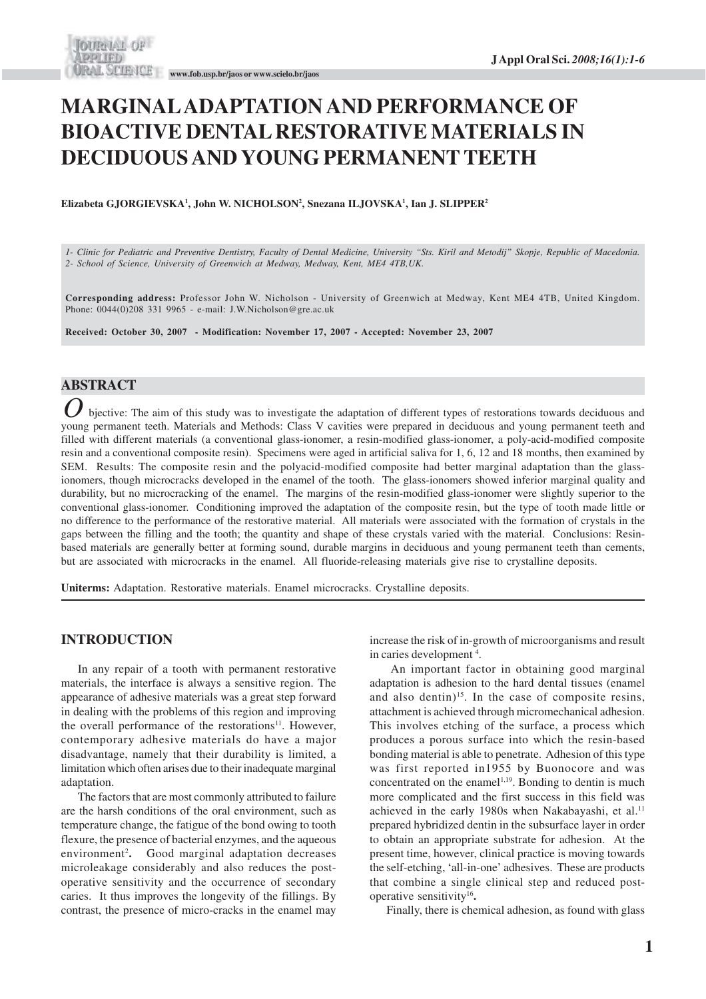# **MARGINAL ADAPTATION AND PERFORMANCE OF BIOACTIVE DENTAL RESTORATIVE MATERIALS IN DECIDUOUS AND YOUNG PERMANENT TEETH**

**Elizabeta GJORGIEVSKA<sup>1</sup> , John W. NICHOLSON<sup>2</sup> , Snezana ILJOVSKA<sup>1</sup> , Ian J. SLIPPER<sup>2</sup>**

*1- Clinic for Pediatric and Preventive Dentistry, Faculty of Dental Medicine, University "Sts. Kiril and Metodij" Skopje, Republic of Macedonia. 2- School of Science, University of Greenwich at Medway, Medway, Kent, ME4 4TB,UK.*

**Corresponding address:** Professor John W. Nicholson - University of Greenwich at Medway, Kent ME4 4TB, United Kingdom. Phone: 0044(0)208 331 9965 - e-mail: J.W.Nicholson@gre.ac.uk

**Received: October 30, 2007 - Modification: November 17, 2007 - Accepted: November 23, 2007**

# **ABSTRACT**

O bjective: The aim of this study was to investigate the adaptation of different types of restorations towards deciduous and young permanent teeth. Materials and Methods: Class V cavities were prepared in deciduous and you bjective: The aim of this study was to investigate the adaptation of different types of restorations towards deciduous and filled with different materials (a conventional glass-ionomer, a resin-modified glass-ionomer, a poly-acid-modified composite resin and a conventional composite resin). Specimens were aged in artificial saliva for 1, 6, 12 and 18 months, then examined by SEM. Results: The composite resin and the polyacid-modified composite had better marginal adaptation than the glassionomers, though microcracks developed in the enamel of the tooth. The glass-ionomers showed inferior marginal quality and durability, but no microcracking of the enamel. The margins of the resin-modified glass-ionomer were slightly superior to the conventional glass-ionomer. Conditioning improved the adaptation of the composite resin, but the type of tooth made little or no difference to the performance of the restorative material. All materials were associated with the formation of crystals in the gaps between the filling and the tooth; the quantity and shape of these crystals varied with the material. Conclusions: Resinbased materials are generally better at forming sound, durable margins in deciduous and young permanent teeth than cements, but are associated with microcracks in the enamel. All fluoride-releasing materials give rise to crystalline deposits.

**Uniterms:** Adaptation. Restorative materials. Enamel microcracks. Crystalline deposits.

#### **INTRODUCTION**

In any repair of a tooth with permanent restorative materials, the interface is always a sensitive region. The appearance of adhesive materials was a great step forward in dealing with the problems of this region and improving the overall performance of the restorations $11$ . However, contemporary adhesive materials do have a major disadvantage, namely that their durability is limited, a limitation which often arises due to their inadequate marginal adaptation.

The factors that are most commonly attributed to failure are the harsh conditions of the oral environment, such as temperature change, the fatigue of the bond owing to tooth flexure, the presence of bacterial enzymes, and the aqueous environment<sup>2</sup>. Good marginal adaptation decreases microleakage considerably and also reduces the postoperative sensitivity and the occurrence of secondary caries. It thus improves the longevity of the fillings. By contrast, the presence of micro-cracks in the enamel may increase the risk of in-growth of microorganisms and result in caries development<sup>4</sup>.

 An important factor in obtaining good marginal adaptation is adhesion to the hard dental tissues (enamel and also dentin)<sup>15</sup>. In the case of composite resins, attachment is achieved through micromechanical adhesion. This involves etching of the surface, a process which produces a porous surface into which the resin-based bonding material is able to penetrate. Adhesion of this type was first reported in1955 by Buonocore and was concentrated on the enamel<sup> $1,19$ </sup>. Bonding to dentin is much more complicated and the first success in this field was achieved in the early 1980s when Nakabayashi, et al.<sup>11</sup> prepared hybridized dentin in the subsurface layer in order to obtain an appropriate substrate for adhesion. At the present time, however, clinical practice is moving towards the self-etching, 'all-in-one' adhesives. These are products that combine a single clinical step and reduced postoperative sensitivity<sup>16</sup> **.**

Finally, there is chemical adhesion, as found with glass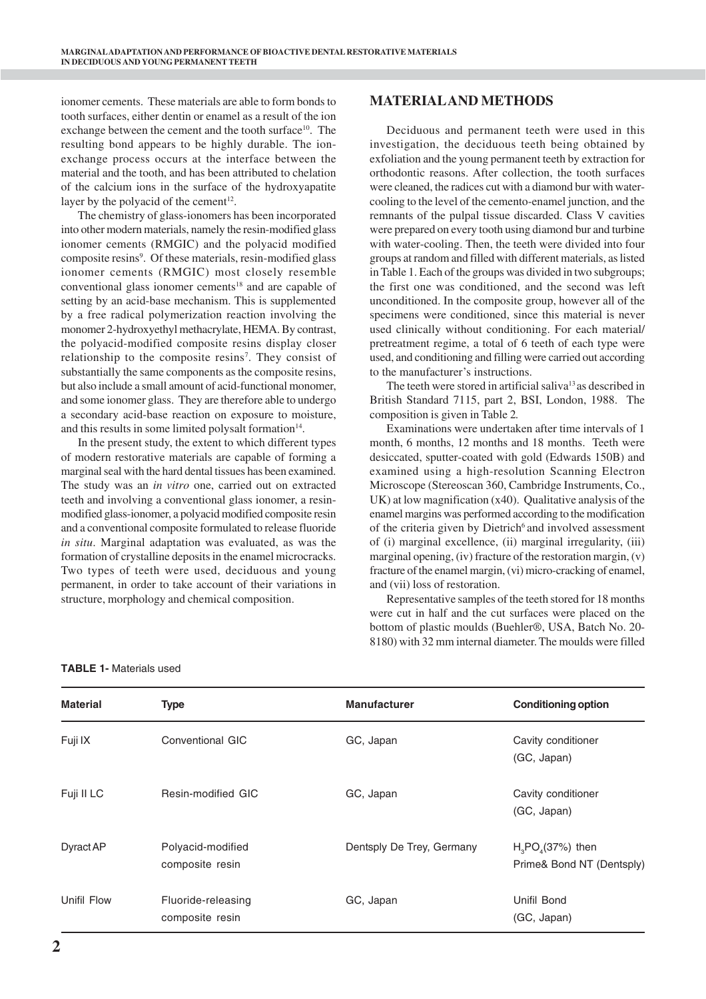ionomer cements. These materials are able to form bonds to tooth surfaces, either dentin or enamel as a result of the ion exchange between the cement and the tooth surface<sup>10</sup>. The resulting bond appears to be highly durable. The ionexchange process occurs at the interface between the material and the tooth, and has been attributed to chelation of the calcium ions in the surface of the hydroxyapatite layer by the polyacid of the cement $12$ .

The chemistry of glass-ionomers has been incorporated into other modern materials, namely the resin-modified glass ionomer cements (RMGIC) and the polyacid modified composite resins<sup>9</sup>. Of these materials, resin-modified glass ionomer cements (RMGIC) most closely resemble conventional glass ionomer cements<sup>18</sup> and are capable of setting by an acid-base mechanism. This is supplemented by a free radical polymerization reaction involving the monomer 2-hydroxyethyl methacrylate, HEMA. By contrast, the polyacid-modified composite resins display closer relationship to the composite resins<sup>7</sup>. They consist of substantially the same components as the composite resins, but also include a small amount of acid-functional monomer, and some ionomer glass. They are therefore able to undergo a secondary acid-base reaction on exposure to moisture, and this results in some limited polysalt formation<sup>14</sup>.

In the present study, the extent to which different types of modern restorative materials are capable of forming a marginal seal with the hard dental tissues has been examined. The study was an *in vitro* one, carried out on extracted teeth and involving a conventional glass ionomer, a resinmodified glass-ionomer, a polyacid modified composite resin and a conventional composite formulated to release fluoride *in situ*. Marginal adaptation was evaluated, as was the formation of crystalline deposits in the enamel microcracks. Two types of teeth were used, deciduous and young permanent, in order to take account of their variations in structure, morphology and chemical composition.

## **MATERIAL AND METHODS**

Deciduous and permanent teeth were used in this investigation, the deciduous teeth being obtained by exfoliation and the young permanent teeth by extraction for orthodontic reasons. After collection, the tooth surfaces were cleaned, the radices cut with a diamond bur with watercooling to the level of the cemento-enamel junction, and the remnants of the pulpal tissue discarded. Class V cavities were prepared on every tooth using diamond bur and turbine with water-cooling. Then, the teeth were divided into four groups at random and filled with different materials, as listed in Table 1. Each of the groups was divided in two subgroups; the first one was conditioned, and the second was left unconditioned. In the composite group, however all of the specimens were conditioned, since this material is never used clinically without conditioning. For each material/ pretreatment regime, a total of 6 teeth of each type were used, and conditioning and filling were carried out according to the manufacturer's instructions.

The teeth were stored in artificial saliva<sup>13</sup> as described in British Standard 7115, part 2, BSI, London, 1988. The composition is given in Table 2*.*

Examinations were undertaken after time intervals of 1 month, 6 months, 12 months and 18 months. Teeth were desiccated, sputter-coated with gold (Edwards 150B) and examined using a high-resolution Scanning Electron Microscope (Stereoscan 360, Cambridge Instruments, Co., UK) at low magnification (x40). Qualitative analysis of the enamel margins was performed according to the modification of the criteria given by Dietrich<sup>6</sup> and involved assessment of (i) marginal excellence, (ii) marginal irregularity, (iii) marginal opening, (iv) fracture of the restoration margin, (v) fracture of the enamel margin, (vi) micro-cracking of enamel, and (vii) loss of restoration.

Representative samples of the teeth stored for 18 months were cut in half and the cut surfaces were placed on the bottom of plastic moulds (Buehler®, USA, Batch No. 20- 8180) with 32 mm internal diameter. The moulds were filled

| <b>TABLE 1- Materials used</b> |
|--------------------------------|
|--------------------------------|

| <b>Material</b> | <b>Type</b>                           | <b>Manufacturer</b>       | <b>Conditioning option</b>                     |
|-----------------|---------------------------------------|---------------------------|------------------------------------------------|
| Fuji IX         | Conventional GIC                      | GC, Japan                 | Cavity conditioner<br>(GC, Japan)              |
| Fuji II LC      | Resin-modified GIC                    | GC, Japan                 | Cavity conditioner<br>(GC, Japan)              |
| Dyract AP       | Polyacid-modified<br>composite resin  | Dentsply De Trey, Germany | $H3PO4(37%)$ then<br>Prime& Bond NT (Dentsply) |
| Unifil Flow     | Fluoride-releasing<br>composite resin | GC, Japan                 | Unifil Bond<br>(GC, Japan)                     |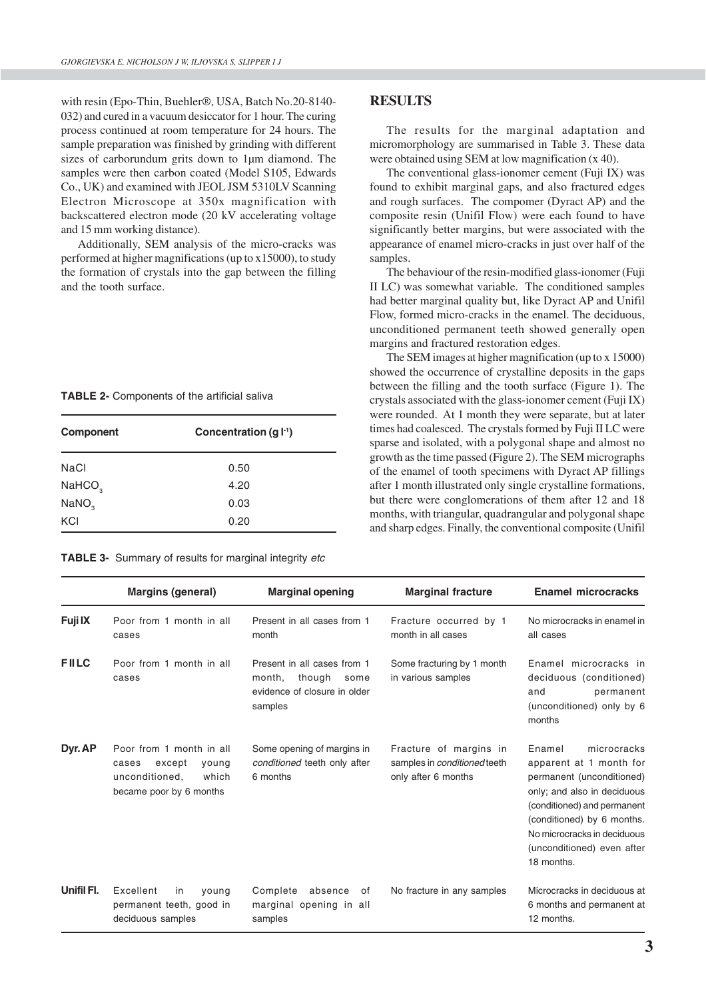with resin (Epo-Thin, Buehler®, USA, Batch No.20-8140- 032) and cured in a vacuum desiccator for 1 hour. The curing process continued at room temperature for 24 hours. The sample preparation was finished by grinding with different sizes of carborundum grits down to 1µm diamond. The samples were then carbon coated (Model S105, Edwards Co., UK) and examined with JEOL JSM 5310LV Scanning Electron Microscope at 350x magnification with backscattered electron mode (20 kV accelerating voltage and 15 mm working distance).

Additionally, SEM analysis of the micro-cracks was performed at higher magnifications (up to x15000), to study the formation of crystals into the gap between the filling and the tooth surface.

| TABLE 2- Components of the artificial saliva |  |  |  |
|----------------------------------------------|--|--|--|
|----------------------------------------------|--|--|--|

| Component          | Concentration $(g f )$ |  |  |
|--------------------|------------------------|--|--|
| <b>NaCl</b>        | 0.50                   |  |  |
| NAHCO <sub>3</sub> | 4.20                   |  |  |
| NANO <sub>3</sub>  | 0.03                   |  |  |
| KCI                | 0.20                   |  |  |

**TABLE 3-** Summary of results for marginal integrity etc

#### **RESULTS**

The results for the marginal adaptation and micromorphology are summarised in Table 3. These data were obtained using SEM at low magnification (x 40).

The conventional glass-ionomer cement (Fuji IX) was found to exhibit marginal gaps, and also fractured edges and rough surfaces. The compomer (Dyract AP) and the composite resin (Unifil Flow) were each found to have significantly better margins, but were associated with the appearance of enamel micro-cracks in just over half of the samples.

The behaviour of the resin-modified glass-ionomer (Fuji II LC) was somewhat variable. The conditioned samples had better marginal quality but, like Dyract AP and Unifil Flow, formed micro-cracks in the enamel. The deciduous, unconditioned permanent teeth showed generally open margins and fractured restoration edges.

The SEM images at higher magnification (up to x 15000) showed the occurrence of crystalline deposits in the gaps between the filling and the tooth surface (Figure 1). The crystals associated with the glass-ionomer cement (Fuji IX) were rounded. At 1 month they were separate, but at later times had coalesced. The crystals formed by Fuji II LC were sparse and isolated, with a polygonal shape and almost no growth as the time passed (Figure 2). The SEM micrographs of the enamel of tooth specimens with Dyract AP fillings after 1 month illustrated only single crystalline formations, but there were conglomerations of them after 12 and 18 months, with triangular, quadrangular and polygonal shape and sharp edges. Finally, the conventional composite (Unifil

|             | <b>Margins (general)</b>                                                                                   | <b>Marginal opening</b>                                                                            | <b>Marginal fracture</b>                                                             | <b>Enamel microcracks</b>                                                                                                                                                                                                                            |
|-------------|------------------------------------------------------------------------------------------------------------|----------------------------------------------------------------------------------------------------|--------------------------------------------------------------------------------------|------------------------------------------------------------------------------------------------------------------------------------------------------------------------------------------------------------------------------------------------------|
| Fuji IX     | Poor from 1 month in all<br>cases                                                                          | Present in all cases from 1<br>month                                                               | Fracture occurred by 1<br>month in all cases                                         | No microcracks in enamel in<br>all cases                                                                                                                                                                                                             |
| <b>FILC</b> | Poor from 1 month in all<br>cases                                                                          | Present in all cases from 1<br>though<br>month,<br>some<br>evidence of closure in older<br>samples | Some fracturing by 1 month<br>in various samples                                     | Enamel microcracks in<br>deciduous (conditioned)<br>and<br>permanent<br>(unconditioned) only by 6<br>months                                                                                                                                          |
| Dyr. AP     | Poor from 1 month in all<br>except<br>young<br>cases<br>unconditioned,<br>which<br>became poor by 6 months | Some opening of margins in<br>conditioned teeth only after<br>6 months                             | Fracture of margins in<br>samples in <i>conditioned</i> teeth<br>only after 6 months | microcracks<br>Enamel<br>apparent at 1 month for<br>permanent (unconditioned)<br>only; and also in deciduous<br>(conditioned) and permanent<br>(conditioned) by 6 months.<br>No microcracks in deciduous<br>(unconditioned) even after<br>18 months. |
| Unifil Fl.  | Excellent<br>in<br>young<br>permanent teeth, good in<br>deciduous samples                                  | Complete<br>absence<br>of<br>marginal opening in all<br>samples                                    | No fracture in any samples                                                           | Microcracks in deciduous at<br>6 months and permanent at<br>12 months.                                                                                                                                                                               |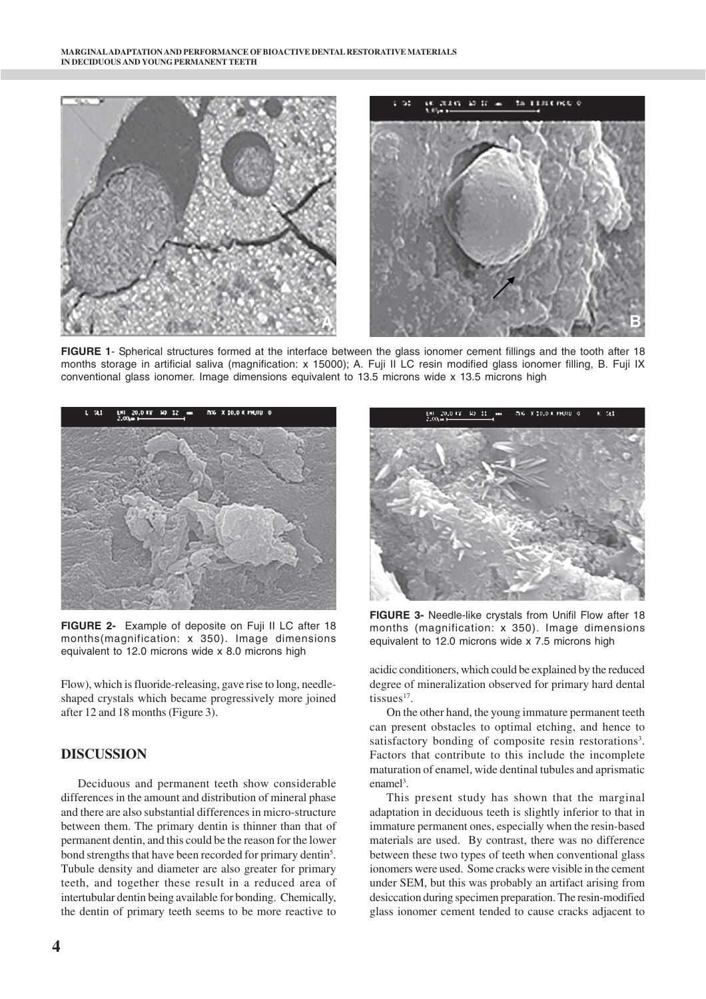

**FIGURE 1**- Spherical structures formed at the interface between the glass ionomer cement fillings and the tooth after 18 months storage in artificial saliva (magnification: x 15000); A. Fuji II LC resin modified glass ionomer filling, B. Fuji IX conventional glass ionomer. Image dimensions equivalent to 13.5 microns wide x 13.5 microns high



**FIGURE 2-** Example of deposite on Fuji II LC after 18 months(magnification: x 350). Image dimensions equivalent to 12.0 microns wide x 8.0 microns high

Flow), which is fluoride-releasing, gave rise to long, needleshaped crystals which became progressively more joined after 12 and 18 months (Figure 3).

## **DISCUSSION**

Deciduous and permanent teeth show considerable differences in the amount and distribution of mineral phase and there are also substantial differences in micro-structure between them. The primary dentin is thinner than that of permanent dentin, and this could be the reason for the lower bond strengths that have been recorded for primary dentin<sup>5</sup>. Tubule density and diameter are also greater for primary teeth, and together these result in a reduced area of intertubular dentin being available for bonding. Chemically, the dentin of primary teeth seems to be more reactive to



**FIGURE 3-** Needle-like crystals from Unifil Flow after 18 months (magnification: x 350). Image dimensions equivalent to 12.0 microns wide x 7.5 microns high

acidic conditioners, which could be explained by the reduced degree of mineralization observed for primary hard dental tissues $17$ .

On the other hand, the young immature permanent teeth can present obstacles to optimal etching, and hence to satisfactory bonding of composite resin restorations<sup>3</sup>. Factors that contribute to this include the incomplete maturation of enamel, wide dentinal tubules and aprismatic enamel<sup>3</sup>.

This present study has shown that the marginal adaptation in deciduous teeth is slightly inferior to that in immature permanent ones, especially when the resin-based materials are used. By contrast, there was no difference between these two types of teeth when conventional glass ionomers were used. Some cracks were visible in the cement under SEM, but this was probably an artifact arising from desiccation during specimen preparation. The resin-modified glass ionomer cement tended to cause cracks adjacent to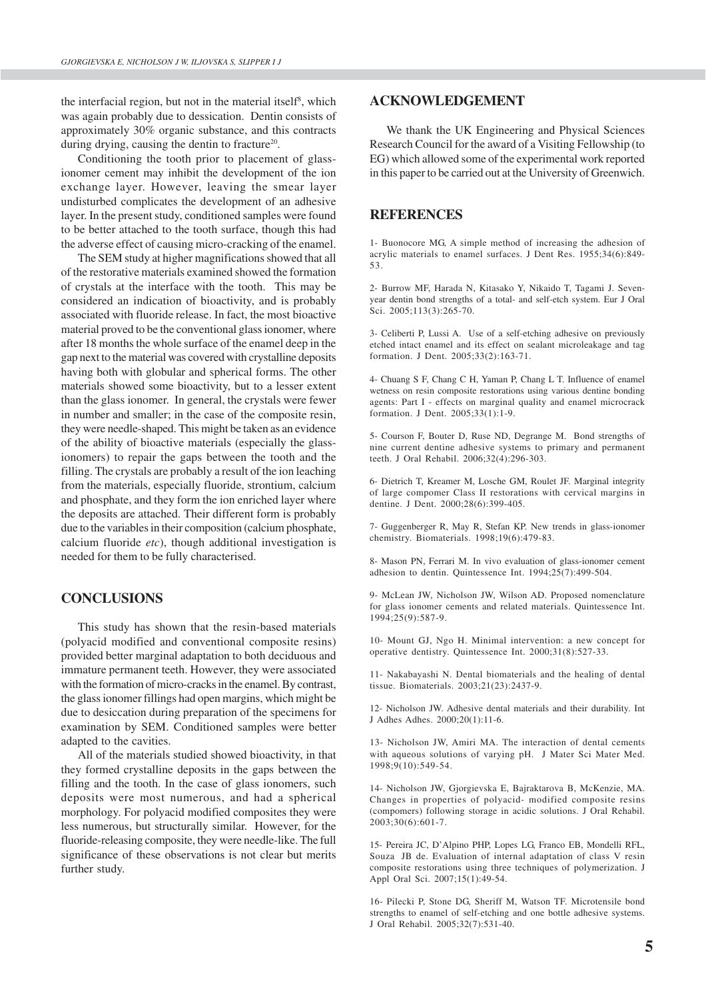the interfacial region, but not in the material itself<sup>8</sup>, which was again probably due to dessication. Dentin consists of approximately 30% organic substance, and this contracts during drying, causing the dentin to fracture<sup>20</sup>.

Conditioning the tooth prior to placement of glassionomer cement may inhibit the development of the ion exchange layer. However, leaving the smear layer undisturbed complicates the development of an adhesive layer. In the present study, conditioned samples were found to be better attached to the tooth surface, though this had the adverse effect of causing micro-cracking of the enamel.

The SEM study at higher magnifications showed that all of the restorative materials examined showed the formation of crystals at the interface with the tooth. This may be considered an indication of bioactivity, and is probably associated with fluoride release. In fact, the most bioactive material proved to be the conventional glass ionomer, where after 18 months the whole surface of the enamel deep in the gap next to the material was covered with crystalline deposits having both with globular and spherical forms. The other materials showed some bioactivity, but to a lesser extent than the glass ionomer. In general, the crystals were fewer in number and smaller; in the case of the composite resin, they were needle-shaped. This might be taken as an evidence of the ability of bioactive materials (especially the glassionomers) to repair the gaps between the tooth and the filling. The crystals are probably a result of the ion leaching from the materials, especially fluoride, strontium, calcium and phosphate, and they form the ion enriched layer where the deposits are attached. Their different form is probably due to the variables in their composition (calcium phosphate, calcium fluoride *etc*), though additional investigation is needed for them to be fully characterised.

#### **CONCLUSIONS**

This study has shown that the resin-based materials (polyacid modified and conventional composite resins) provided better marginal adaptation to both deciduous and immature permanent teeth. However, they were associated with the formation of micro-cracks in the enamel. By contrast, the glass ionomer fillings had open margins, which might be due to desiccation during preparation of the specimens for examination by SEM. Conditioned samples were better adapted to the cavities.

All of the materials studied showed bioactivity, in that they formed crystalline deposits in the gaps between the filling and the tooth. In the case of glass ionomers, such deposits were most numerous, and had a spherical morphology. For polyacid modified composites they were less numerous, but structurally similar. However, for the fluoride-releasing composite, they were needle-like. The full significance of these observations is not clear but merits further study.

#### **ACKNOWLEDGEMENT**

We thank the UK Engineering and Physical Sciences Research Council for the award of a Visiting Fellowship (to EG) which allowed some of the experimental work reported in this paper to be carried out at the University of Greenwich.

#### **REFERENCES**

1- Buonocore MG, A simple method of increasing the adhesion of acrylic materials to enamel surfaces. J Dent Res. 1955;34(6):849- 53.

2- Burrow MF, Harada N, Kitasako Y, Nikaido T, Tagami J. Sevenyear dentin bond strengths of a total- and self-etch system. Eur J Oral Sci. 2005;113(3):265-70.

3- Celiberti P, Lussi A. Use of a self-etching adhesive on previously etched intact enamel and its effect on sealant microleakage and tag formation. J Dent. 2005;33(2):163-71.

4- Chuang S F, Chang C H, Yaman P, Chang L T. Influence of enamel wetness on resin composite restorations using various dentine bonding agents: Part I - effects on marginal quality and enamel microcrack formation. J Dent. 2005;33(1):1-9.

5- Courson F, Bouter D, Ruse ND, Degrange M. Bond strengths of nine current dentine adhesive systems to primary and permanent teeth. J Oral Rehabil. 2006;32(4):296-303.

6- Dietrich T, Kreamer M, Losche GM, Roulet JF. Marginal integrity of large compomer Class II restorations with cervical margins in dentine. J Dent. 2000;28(6):399-405.

7- Guggenberger R, May R, Stefan KP. New trends in glass-ionomer chemistry. Biomaterials. 1998;19(6):479-83.

8- Mason PN, Ferrari M. In vivo evaluation of glass-ionomer cement adhesion to dentin. Quintessence Int. 1994;25(7):499-504.

9- McLean JW, Nicholson JW, Wilson AD. Proposed nomenclature for glass ionomer cements and related materials. Quintessence Int. 1994;25(9):587-9.

10- Mount GJ, Ngo H. Minimal intervention: a new concept for operative dentistry. Quintessence Int. 2000;31(8):527-33.

11- Nakabayashi N. Dental biomaterials and the healing of dental tissue. Biomaterials. 2003;21(23):2437-9.

12- Nicholson JW. Adhesive dental materials and their durability. Int J Adhes Adhes. 2000;20(1):11-6.

13- Nicholson JW, Amiri MA. The interaction of dental cements with aqueous solutions of varying pH. J Mater Sci Mater Med. 1998;9(10):549-54.

14- Nicholson JW, Gjorgievska E, Bajraktarova B, McKenzie, MA. Changes in properties of polyacid- modified composite resins (compomers) following storage in acidic solutions. J Oral Rehabil. 2003;30(6):601-7.

15- Pereira JC, D'Alpino PHP, Lopes LG, Franco EB, Mondelli RFL, Souza JB de. Evaluation of internal adaptation of class V resin composite restorations using three techniques of polymerization. J Appl Oral Sci. 2007;15(1):49-54.

16- Pilecki P, Stone DG, Sheriff M, Watson TF. Microtensile bond strengths to enamel of self-etching and one bottle adhesive systems. J Oral Rehabil. 2005;32(7):531-40.